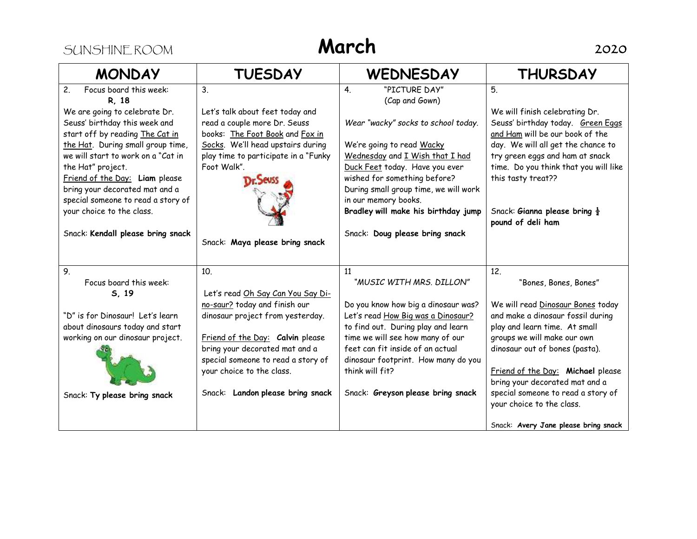## SUNSHINE ROOM **March** 2020

| <b>MONDAY</b>                      | <b>TUESDAY</b>                       | <b>WEDNESDAY</b>                      | <b>THURSDAY</b>                          |
|------------------------------------|--------------------------------------|---------------------------------------|------------------------------------------|
| 2.<br>Focus board this week:       | 3 <sub>1</sub>                       | "PICTURE DAY"<br>4.                   | 5.                                       |
| R. 18                              |                                      | (Cap and Gown)                        |                                          |
| We are going to celebrate Dr.      | Let's talk about feet today and      |                                       | We will finish celebrating Dr.           |
| Seuss' birthday this week and      | read a couple more Dr. Seuss         | Wear "wacky" socks to school today.   | Seuss' birthday today. Green Eggs        |
| start off by reading The Cat in    | books: The Foot Book and Fox in      |                                       | and Ham will be our book of the          |
| the Hat. During small group time,  | Socks. We'll head upstairs during    | We're going to read Wacky             | day. We will all get the chance to       |
| we will start to work on a "Cat in | play time to participate in a "Funky | Wednesday and I Wish that I had       | try green eggs and ham at snack          |
| the Hat" project.                  | Foot Walk".                          | Duck Feet today. Have you ever        | time. Do you think that you will like    |
| Friend of the Day: Liam please     |                                      | wished for something before?          | this tasty treat??                       |
| bring your decorated mat and a     |                                      | During small group time, we will work |                                          |
| special someone to read a story of |                                      | in our memory books.                  |                                          |
| your choice to the class.          |                                      | Bradley will make his birthday jump   | Snack: Gianna please bring $\frac{1}{2}$ |
|                                    |                                      |                                       | pound of deli ham                        |
| Snack: Kendall please bring snack  | Snack: Maya please bring snack       | Snack: Doug please bring snack        |                                          |
|                                    |                                      |                                       |                                          |
|                                    |                                      |                                       |                                          |
| 9.                                 | 10 <sub>1</sub>                      | 11                                    | 12.                                      |
| Focus board this week:             |                                      | "MUSIC WITH MRS. DILLON"              | "Bones, Bones, Bones"                    |
| 5, 19                              | Let's read Oh Say Can You Say Di-    |                                       |                                          |
|                                    | no-saur? today and finish our        | Do you know how big a dinosaur was?   | We will read Dinosaur Bones today        |
| "D" is for Dinosaur! Let's learn   | dinosaur project from yesterday.     | Let's read How Big was a Dinosaur?    | and make a dinosaur fossil during        |
| about dinosaurs today and start    |                                      | to find out. During play and learn    | play and learn time. At small            |
| working on our dinosaur project.   | Friend of the Day: Calvin please     | time we will see how many of our      | groups we will make our own              |
|                                    | bring your decorated mat and a       | feet can fit inside of an actual      | dinosaur out of bones (pasta).           |
|                                    | special someone to read a story of   | dinosaur footprint. How many do you   |                                          |
|                                    | your choice to the class.            | think will fit?                       | Friend of the Day: Michael please        |
|                                    |                                      |                                       | bring your decorated mat and a           |
| Snack: Ty please bring snack       | Snack: Landon please bring snack     | Snack: Greyson please bring snack     | special someone to read a story of       |
|                                    |                                      |                                       | your choice to the class.                |
|                                    |                                      |                                       | Snack: Avery Jane please bring snack     |
|                                    |                                      |                                       |                                          |